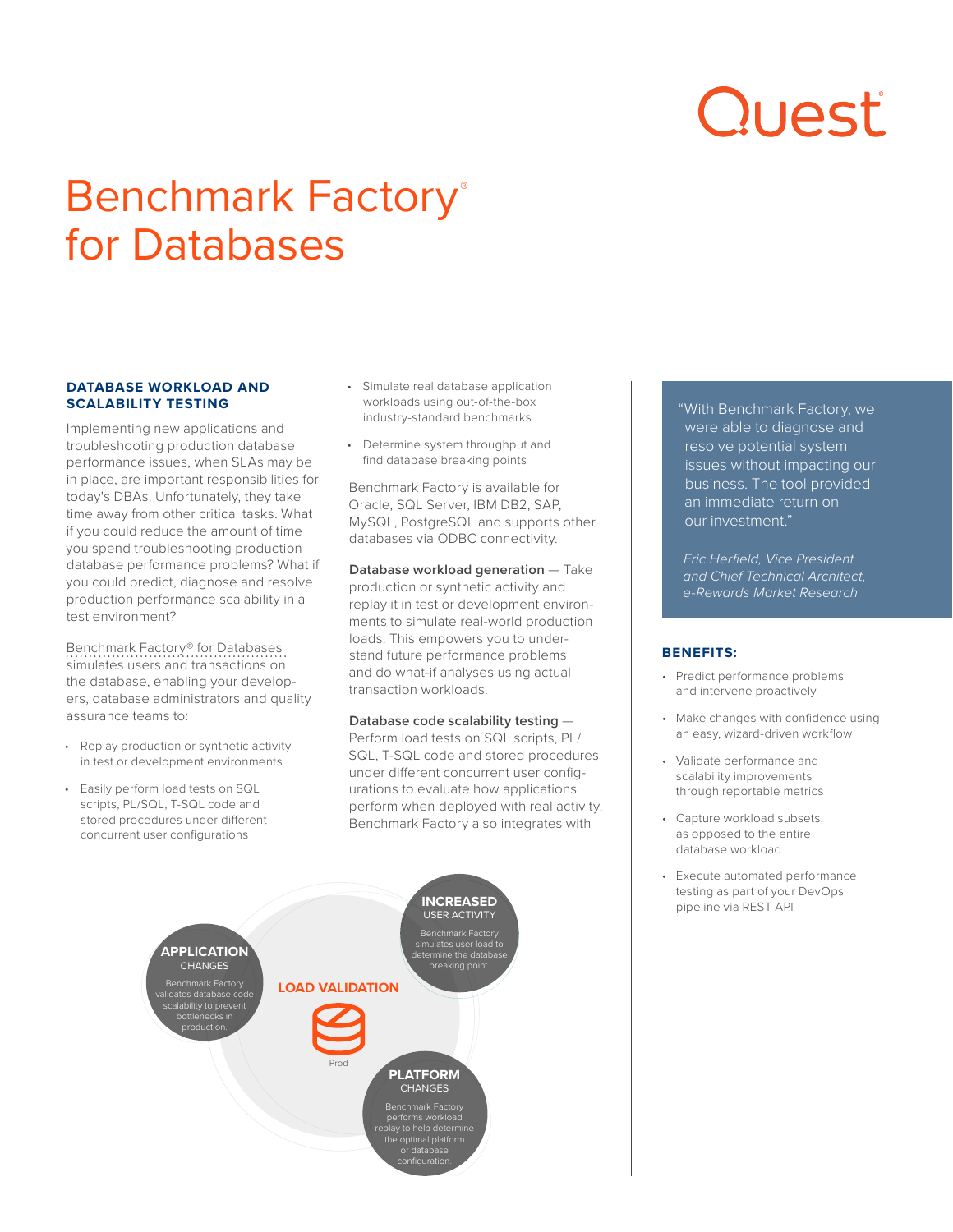# Quest

# Benchmark Factory® for Databases

# **DATABASE WORKLOAD AND SCALABILITY TESTING**

Implementing new applications and troubleshooting production database performance issues, when SLAs may be in place, are important responsibilities for today's DBAs. Unfortunately, they take time away from other critical tasks. What if you could reduce the amount of time you spend troubleshooting production database performance problems? What if you could predict, diagnose and resolve production performance scalability in a test environment?

[Benchmark Factory® for Databases](https://www.quest.com/products/benchmark-factory/)  simulates users and transactions on the database, enabling your developers, database administrators and quality assurance teams to:

- Replay production or synthetic activity in test or development environments
- Easily perform load tests on SQL scripts, PL/SQL, T-SQL code and stored procedures under different concurrent user configurations
- Simulate real database application workloads using out-of-the-box industry-standard benchmarks
- Determine system throughput and find database breaking points

Benchmark Factory is available for Oracle, SQL Server, IBM DB2, SAP, MySQL, PostgreSQL and supports other databases via ODBC connectivity.

**Database workload generation** - Take production or synthetic activity and replay it in test or development environments to simulate real-world production loads. This empowers you to understand future performance problems and do what-if analyses using actual transaction workloads.

#### **Database code scalability testing** — Perform load tests on SQL scripts, PL/

SQL, T-SQL code and stored procedures under different concurrent user configurations to evaluate how applications perform when deployed with real activity. Benchmark Factory also integrates with



"With Benchmark Factory, we were able to diagnose and resolve potential system issues without impacting our business. The tool provided an immediate return on our investment."

*Eric Herfield, Vice President and Chief Technical Architect, e-Rewards Market Research*

# **BENEFITS:**

- Predict performance problems and intervene proactively
- Make changes with confidence using an easy, wizard-driven workflow
- Validate performance and scalability improvements through reportable metrics
- Capture workload subsets, as opposed to the entire database workload
- Execute automated performance testing as part of your DevOps pipeline via REST API